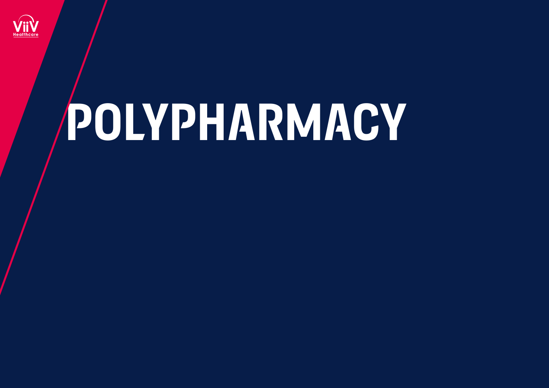

# **polypharmacy**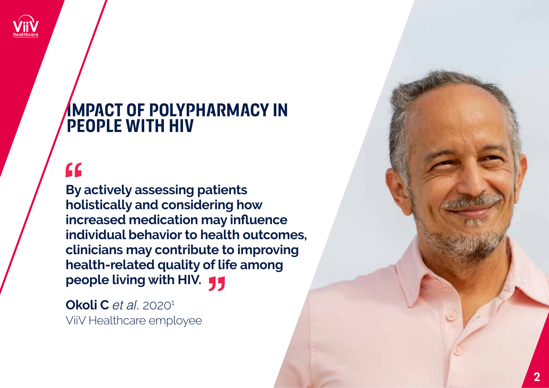

### **impact of polypharmacy in people with hiv**

## $\overline{\mathbf{G}}$

**By actively assessing patients holistically and considering how increased medication may influence individual behavior to health outcomes, clinicians may contribute to improving health-related quality of life among people living with HIV.** 

**Okoli C** *et al.* 2020<sup>1</sup> ViiV Healthcare employee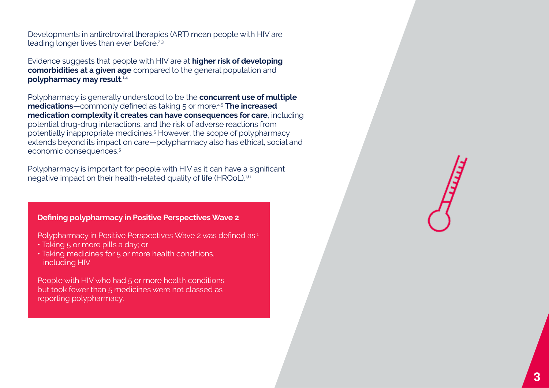Developments in antiretroviral therapies (ART) mean people with HIV are leading longer lives than ever before.2,3

Evidence suggests that people with HIV are at **higher risk of developing comorbidities at a given age** compared to the general population and **polypharmacy may result**. 1,4

Polypharmacy is generally understood to be the **concurrent use of multiple medications**—commonly defined as taking 5 or more.<sup>45</sup> The increased **medication complexity it creates can have consequences for care**, including potential drug-drug interactions, and the risk of adverse reactions from potentially inappropriate medicines.<sup>5</sup> However, the scope of polypharmacy extends beyond its impact on care—polypharmacy also has ethical, social and economic consequences.<sup>5</sup>

Polypharmacy is important for people with HIV as it can have a significant negative impact on their health-related quality of life (HRQoL).<sup>1,6</sup>

#### **Defining polypharmacy in Positive Perspectives Wave 2**

Polypharmacy in Positive Perspectives Wave 2 was defined as:<sup>1</sup>

- Taking 5 or more pills a day; or
- Taking medicines for 5 or more health conditions, including HIV

People with HIV who had 5 or more health conditions but took fewer than 5 medicines were not classed as reporting polypharmacy.

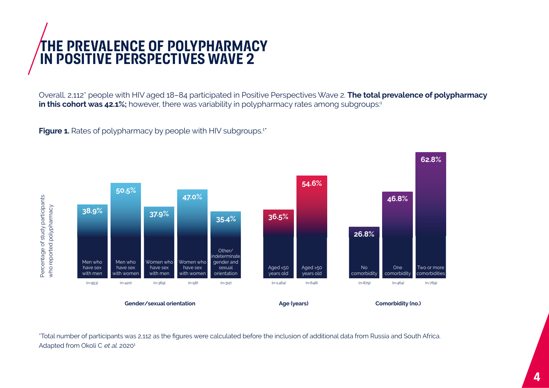

Overall, 2,112\* people with HIV aged 18–84 participated in Positive Perspectives Wave 2. **The total prevalence of polypharmacy in this cohort was 42.1%;** however, there was variability in polypharmacy rates among subgroups:<sup>1</sup>

**Figure 1.** Rates of polypharmacy by people with HIV subgroups.<sup>1\*</sup>



\*Total number of participants was 2,112 as the figures were calculated before the inclusion of additional data from Russia and South Africa.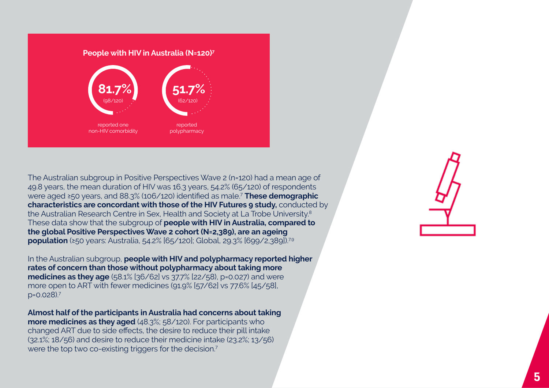

The Australian subgroup in Positive Perspectives Wave 2 (n=120) had a mean age of 49.8 years, the mean duration of HIV was 16.3 years, 54.2% (65/120) of respondents were aged ≥50 years, and 88.3% (106/120) identified as male.<sup>7</sup> **These demographic characteristics are concordant with those of the HIV Futures 9 study,** conducted by the Australian Research Centre in Sex, Health and Society at La Trobe University.<sup>8</sup> These data show that the subgroup of **people with HIV in Australia, compared to the global Positive Perspectives Wave 2 cohort (N=2,389), are an ageing population** (≥50 years: Australia, 54.2% [65/120]; Global, 29.3% [699/2,389]).<sup>7,9</sup>

In the Australian subgroup, **people with HIV and polypharmacy reported higher rates of concern than those without polypharmacy about taking more medicines as they age** (58.1% [36/62] vs 37.7% [22/58), p=0.027) and were more open to ART with fewer medicines (91.9% [57/62] vs 77.6% [45/58], p=0.028).7

**Almost half of the participants in Australia had concerns about taking more medicines as they aged** (48.3%; 58/120). For participants who changed ART due to side effects, the desire to reduce their pill intake (32.1%; 18/56) and desire to reduce their medicine intake (23.2%; 13/56) were the top two co-existing triggers for the decision.<sup>7</sup>

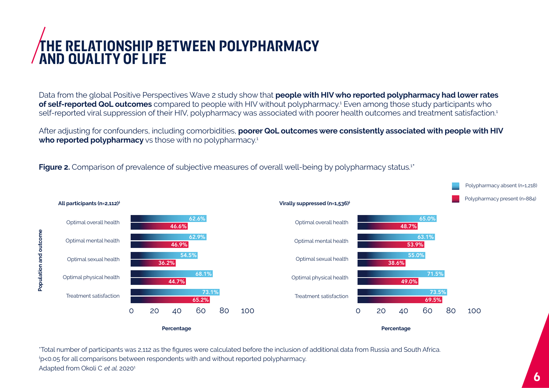## **the relationship between polypharmacy and quality of life**

Data from the global Positive Perspectives Wave 2 study show that **people with HIV who reported polypharmacy had lower rates of self-reported QoL outcomes** compared to people with HIV without polypharmacy.<sup>1</sup> Even among those study participants who self-reported viral suppression of their HIV, polypharmacy was associated with poorer health outcomes and treatment satisfaction.<sup>1</sup>

After adjusting for confounders, including comorbidities, **poorer QoL outcomes were consistently associated with people with HIV who reported polypharmacy** vs those with no polypharmacy.<sup>1</sup>

**Figure 2.** Comparison of prevalence of subjective measures of overall well-being by polypharmacy status.<sup>1\*</sup>



\*Total number of participants was 2,112 as the figures were calculated before the inclusion of additional data from Russia and South Africa. † p<0.05 for all comparisons between respondents with and without reported polypharmacy. Adapted from Okoli C et al. 2020<sup>1</sup>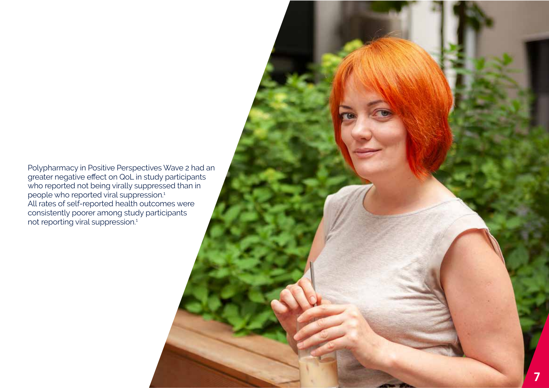Polypharmacy in Positive Perspectives Wave 2 had an greater negative effect on QoL in study participants who reported not being virally suppressed than in people who reported viral suppression.<sup>1</sup> All rates of self-reported health outcomes were consistently poorer among study participants not reporting viral suppression.<sup>1</sup>